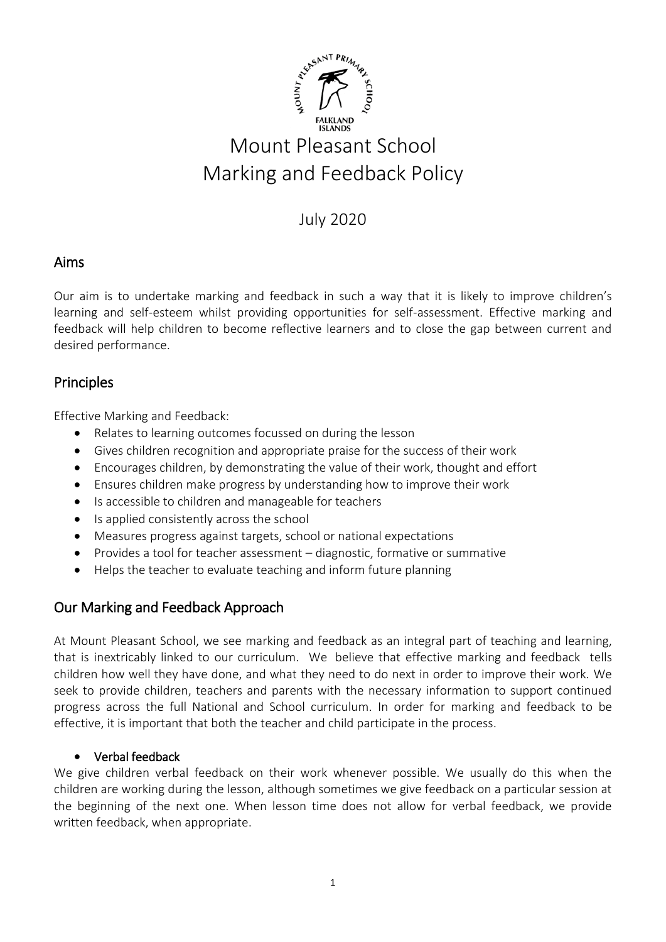

# July 2020

## Aims

Our aim is to undertake marking and feedback in such a way that it is likely to improve children's learning and self-esteem whilst providing opportunities for self-assessment. Effective marking and feedback will help children to become reflective learners and to close the gap between current and desired performance.

# Principles

Effective Marking and Feedback:

- Relates to learning outcomes focussed on during the lesson
- Gives children recognition and appropriate praise for the success of their work
- Encourages children, by demonstrating the value of their work, thought and effort
- Ensures children make progress by understanding how to improve their work
- Is accessible to children and manageable for teachers
- Is applied consistently across the school
- Measures progress against targets, school or national expectations
- Provides a tool for teacher assessment diagnostic, formative or summative
- Helps the teacher to evaluate teaching and inform future planning

# Our Marking and Feedback Approach

At Mount Pleasant School, we see marking and feedback as an integral part of teaching and learning, that is inextricably linked to our curriculum. We believe that effective marking and feedback tells children how well they have done, and what they need to do next in order to improve their work. We seek to provide children, teachers and parents with the necessary information to support continued progress across the full National and School curriculum. In order for marking and feedback to be effective, it is important that both the teacher and child participate in the process.

## • Verbal feedback

We give children verbal feedback on their work whenever possible. We usually do this when the children are working during the lesson, although sometimes we give feedback on a particular session at the beginning of the next one. When lesson time does not allow for verbal feedback, we provide written feedback, when appropriate.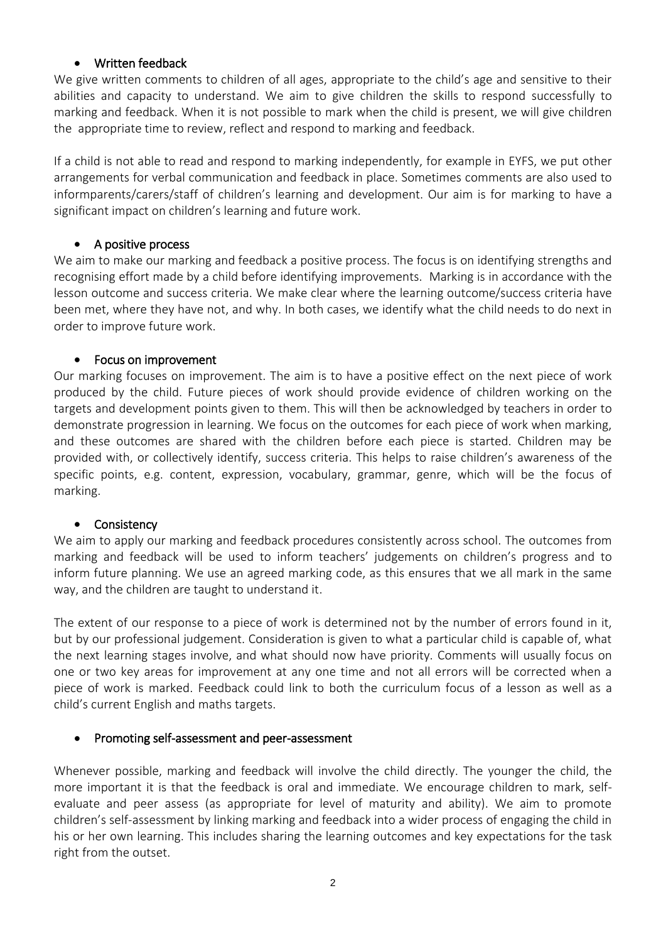## • Written feedback

We give written comments to children of all ages, appropriate to the child's age and sensitive to their abilities and capacity to understand. We aim to give children the skills to respond successfully to marking and feedback. When it is not possible to mark when the child is present, we will give children the appropriate time to review, reflect and respond to marking and feedback.

If a child is not able to read and respond to marking independently, for example in EYFS, we put other arrangements for verbal communication and feedback in place. Sometimes comments are also used to informparents/carers/staff of children's learning and development. Our aim is for marking to have a significant impact on children's learning and future work.

## • A positive process

We aim to make our marking and feedback a positive process. The focus is on identifying strengths and recognising effort made by a child before identifying improvements. Marking is in accordance with the lesson outcome and success criteria. We make clear where the learning outcome/success criteria have been met, where they have not, and why. In both cases, we identify what the child needs to do next in order to improve future work.

## • Focus on improvement

Our marking focuses on improvement. The aim is to have a positive effect on the next piece of work produced by the child. Future pieces of work should provide evidence of children working on the targets and development points given to them. This will then be acknowledged by teachers in order to demonstrate progression in learning. We focus on the outcomes for each piece of work when marking, and these outcomes are shared with the children before each piece is started. Children may be provided with, or collectively identify, success criteria. This helps to raise children's awareness of the specific points, e.g. content, expression, vocabulary, grammar, genre, which will be the focus of marking.

## • Consistency

We aim to apply our marking and feedback procedures consistently across school. The outcomes from marking and feedback will be used to inform teachers' judgements on children's progress and to inform future planning. We use an agreed marking code, as this ensures that we all mark in the same way, and the children are taught to understand it.

The extent of our response to a piece of work is determined not by the number of errors found in it, but by our professional judgement. Consideration is given to what a particular child is capable of, what the next learning stages involve, and what should now have priority. Comments will usually focus on one or two key areas for improvement at any one time and not all errors will be corrected when a piece of work is marked. Feedback could link to both the curriculum focus of a lesson as well as a child's current English and maths targets.

## • Promoting self-assessment and peer-assessment

Whenever possible, marking and feedback will involve the child directly. The younger the child, the more important it is that the feedback is oral and immediate. We encourage children to mark, selfevaluate and peer assess (as appropriate for level of maturity and ability). We aim to promote children's self-assessment by linking marking and feedback into a wider process of engaging the child in his or her own learning. This includes sharing the learning outcomes and key expectations for the task right from the outset.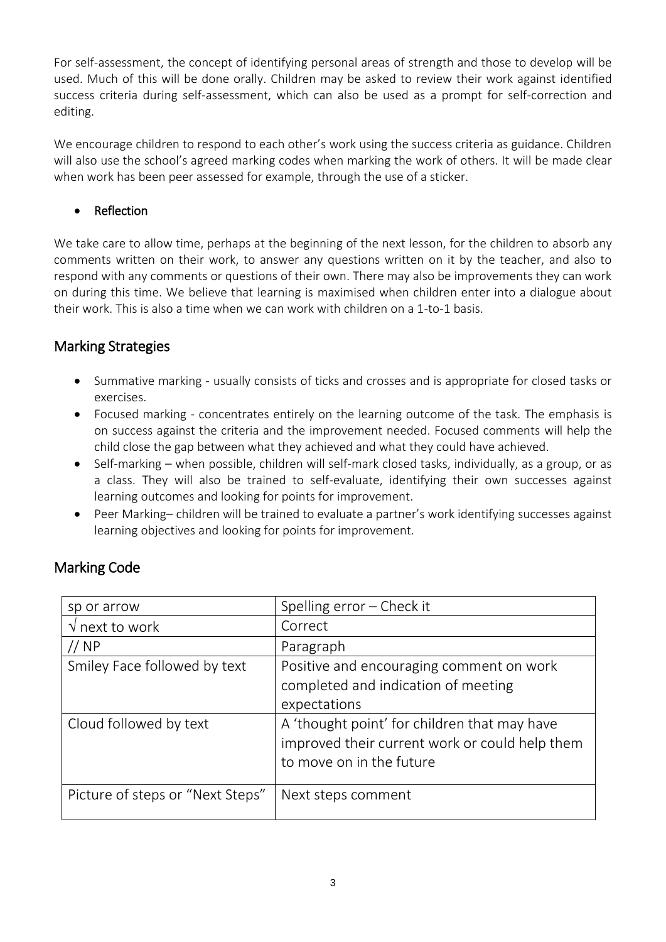For self-assessment, the concept of identifying personal areas of strength and those to develop will be used. Much of this will be done orally. Children may be asked to review their work against identified success criteria during self-assessment, which can also be used as a prompt for self-correction and editing.

We encourage children to respond to each other's work using the success criteria as guidance. Children will also use the school's agreed marking codes when marking the work of others. It will be made clear when work has been peer assessed for example, through the use of a sticker.

## • Reflection

We take care to allow time, perhaps at the beginning of the next lesson, for the children to absorb any comments written on their work, to answer any questions written on it by the teacher, and also to respond with any comments or questions of their own. There may also be improvements they can work on during this time. We believe that learning is maximised when children enter into a dialogue about their work. This is also a time when we can work with children on a 1-to-1 basis.

# Marking Strategies

- Summative marking usually consists of ticks and crosses and is appropriate for closed tasks or exercises.
- Focused marking concentrates entirely on the learning outcome of the task. The emphasis is on success against the criteria and the improvement needed. Focused comments will help the child close the gap between what they achieved and what they could have achieved.
- Self-marking when possible, children will self-mark closed tasks, individually, as a group, or as a class. They will also be trained to self-evaluate, identifying their own successes against learning outcomes and looking for points for improvement.
- Peer Marking– children will be trained to evaluate a partner's work identifying successes against learning objectives and looking for points for improvement.

| sp or arrow                      | Spelling error - Check it                      |
|----------------------------------|------------------------------------------------|
| $\sqrt{2}$ next to work          | Correct                                        |
| // NP                            | Paragraph                                      |
| Smiley Face followed by text     | Positive and encouraging comment on work       |
|                                  | completed and indication of meeting            |
|                                  | expectations                                   |
| Cloud followed by text           | A 'thought point' for children that may have   |
|                                  | improved their current work or could help them |
|                                  | to move on in the future                       |
|                                  |                                                |
| Picture of steps or "Next Steps" | Next steps comment                             |
|                                  |                                                |

# Marking Code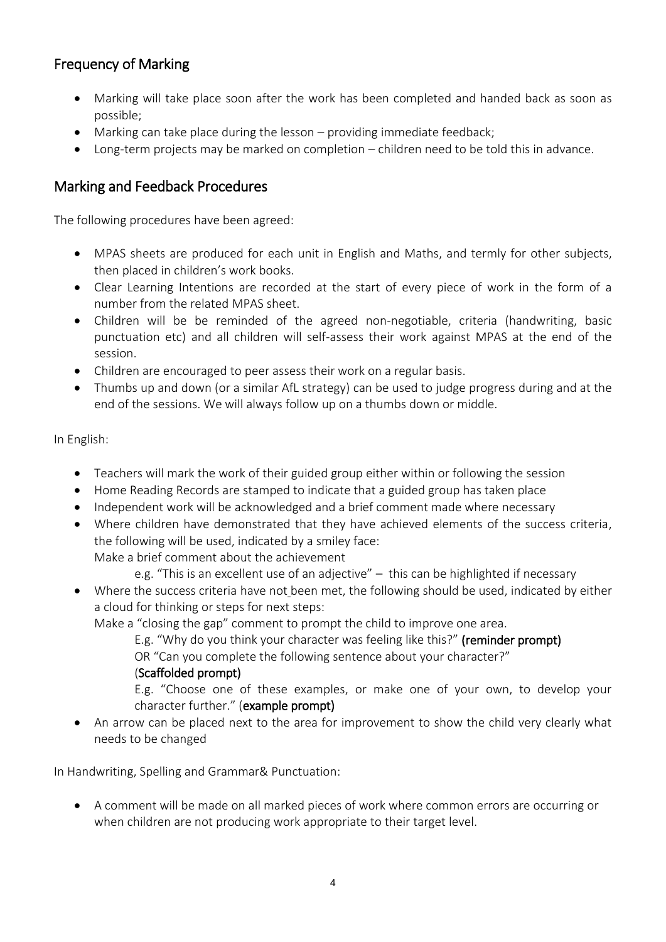# Frequency of Marking

- Marking will take place soon after the work has been completed and handed back as soon as possible;
- Marking can take place during the lesson providing immediate feedback;
- Long-term projects may be marked on completion children need to be told this in advance.

# Marking and Feedback Procedures

The following procedures have been agreed:

- MPAS sheets are produced for each unit in English and Maths, and termly for other subjects, then placed in children's work books.
- Clear Learning Intentions are recorded at the start of every piece of work in the form of a number from the related MPAS sheet.
- Children will be be reminded of the agreed non-negotiable, criteria (handwriting, basic punctuation etc) and all children will self-assess their work against MPAS at the end of the session.
- Children are encouraged to peer assess their work on a regular basis.
- Thumbs up and down (or a similar AfL strategy) can be used to judge progress during and at the end of the sessions. We will always follow up on a thumbs down or middle.

In English:

- Teachers will mark the work of their guided group either within or following the session
- Home Reading Records are stamped to indicate that a guided group has taken place
- Independent work will be acknowledged and a brief comment made where necessary
- Where children have demonstrated that they have achieved elements of the success criteria, the following will be used, indicated by a smiley face: Make a brief comment about the achievement
	- e.g. "This is an excellent use of an adjective" this can be highlighted if necessary
- Where the success criteria have not been met, the following should be used, indicated by either a cloud for thinking or steps for next steps:

Make a "closing the gap" comment to prompt the child to improve one area.

E.g. "Why do you think your character was feeling like this?" (reminder prompt)

OR "Can you complete the following sentence about your character?"

## (Scaffolded prompt)

E.g. "Choose one of these examples, or make one of your own, to develop your character further." (example prompt)

• An arrow can be placed next to the area for improvement to show the child very clearly what needs to be changed

In Handwriting, Spelling and Grammar& Punctuation:

• A comment will be made on all marked pieces of work where common errors are occurring or when children are not producing work appropriate to their target level.